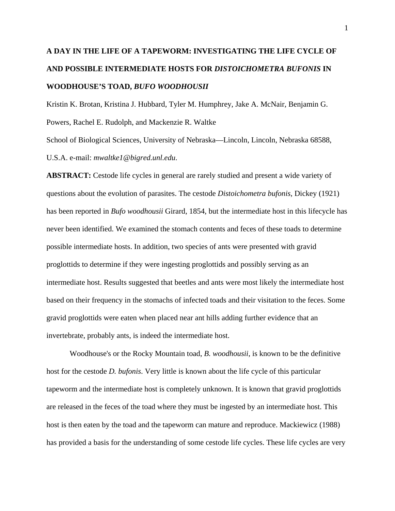# **A DAY IN THE LIFE OF A TAPEWORM: INVESTIGATING THE LIFE CYCLE OF AND POSSIBLE INTERMEDIATE HOSTS FOR** *DISTOICHOMETRA BUFONIS* **IN WOODHOUSE'S TOAD,** *BUFO WOODHOUSII*

Kristin K. Brotan, Kristina J. Hubbard, Tyler M. Humphrey, Jake A. McNair, Benjamin G. Powers, Rachel E. Rudolph, and Mackenzie R. Waltke

School of Biological Sciences, University of Nebraska—Lincoln, Lincoln, Nebraska 68588, U.S.A. e-mail: *mwaltke1@bigred.unl.edu*.

**ABSTRACT:** Cestode life cycles in general are rarely studied and present a wide variety of questions about the evolution of parasites. The cestode *Distoichometra bufonis*, Dickey (1921) has been reported in *Bufo woodhousii* Girard, 1854, but the intermediate host in this lifecycle has never been identified. We examined the stomach contents and feces of these toads to determine possible intermediate hosts. In addition, two species of ants were presented with gravid proglottids to determine if they were ingesting proglottids and possibly serving as an intermediate host. Results suggested that beetles and ants were most likely the intermediate host based on their frequency in the stomachs of infected toads and their visitation to the feces. Some gravid proglottids were eaten when placed near ant hills adding further evidence that an invertebrate, probably ants, is indeed the intermediate host.

Woodhouse's or the Rocky Mountain toad, *B. woodhousii*, is known to be the definitive host for the cestode *D. bufonis*. Very little is known about the life cycle of this particular tapeworm and the intermediate host is completely unknown. It is known that gravid proglottids are released in the feces of the toad where they must be ingested by an intermediate host. This host is then eaten by the toad and the tapeworm can mature and reproduce. Mackiewicz (1988) has provided a basis for the understanding of some cestode life cycles. These life cycles are very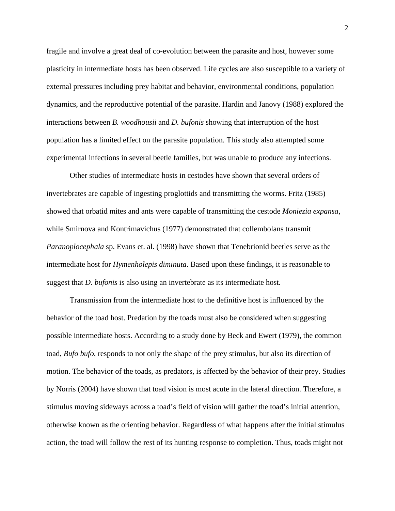fragile and involve a great deal of co-evolution between the parasite and host, however some plasticity in intermediate hosts has been observed. Life cycles are also susceptible to a variety of external pressures including prey habitat and behavior, environmental conditions, population dynamics, and the reproductive potential of the parasite. Hardin and Janovy (1988) explored the interactions between *B. woodhousii* and *D. bufonis* showing that interruption of the host population has a limited effect on the parasite population. This study also attempted some experimental infections in several beetle families, but was unable to produce any infections.

Other studies of intermediate hosts in cestodes have shown that several orders of invertebrates are capable of ingesting proglottids and transmitting the worms. Fritz (1985) showed that orbatid mites and ants were capable of transmitting the cestode *Moniezia expansa*, while Smirnova and Kontrimavichus (1977) demonstrated that collembolans transmit *Paranoplocephala* sp. Evans et. al. (1998) have shown that Tenebrionid beetles serve as the intermediate host for *Hymenholepis diminuta*. Based upon these findings, it is reasonable to suggest that *D. bufonis* is also using an invertebrate as its intermediate host.

Transmission from the intermediate host to the definitive host is influenced by the behavior of the toad host. Predation by the toads must also be considered when suggesting possible intermediate hosts. According to a study done by Beck and Ewert (1979), the common toad, *Bufo bufo*, responds to not only the shape of the prey stimulus, but also its direction of motion. The behavior of the toads, as predators, is affected by the behavior of their prey. Studies by Norris (2004) have shown that toad vision is most acute in the lateral direction. Therefore, a stimulus moving sideways across a toad's field of vision will gather the toad's initial attention, otherwise known as the orienting behavior. Regardless of what happens after the initial stimulus action, the toad will follow the rest of its hunting response to completion. Thus, toads might not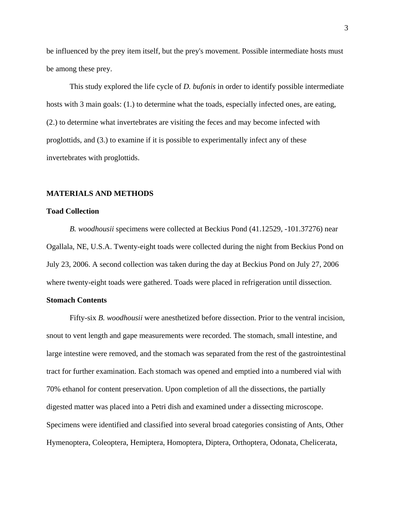be influenced by the prey item itself, but the prey's movement. Possible intermediate hosts must be among these prey.

This study explored the life cycle of *D. bufonis* in order to identify possible intermediate hosts with 3 main goals: (1.) to determine what the toads, especially infected ones, are eating, (2.) to determine what invertebrates are visiting the feces and may become infected with proglottids, and (3.) to examine if it is possible to experimentally infect any of these invertebrates with proglottids.

## **MATERIALS AND METHODS**

#### **Toad Collection**

*B. woodhousii* specimens were collected at Beckius Pond (41.12529, -101.37276) near Ogallala, NE, U.S.A. Twenty-eight toads were collected during the night from Beckius Pond on July 23, 2006. A second collection was taken during the day at Beckius Pond on July 27, 2006 where twenty-eight toads were gathered. Toads were placed in refrigeration until dissection.

## **Stomach Contents**

 Fifty-six *B. woodhousii* were anesthetized before dissection. Prior to the ventral incision, snout to vent length and gape measurements were recorded. The stomach, small intestine, and large intestine were removed, and the stomach was separated from the rest of the gastrointestinal tract for further examination. Each stomach was opened and emptied into a numbered vial with 70% ethanol for content preservation. Upon completion of all the dissections, the partially digested matter was placed into a Petri dish and examined under a dissecting microscope. Specimens were identified and classified into several broad categories consisting of Ants, Other Hymenoptera, Coleoptera, Hemiptera, Homoptera, Diptera, Orthoptera, Odonata, Chelicerata,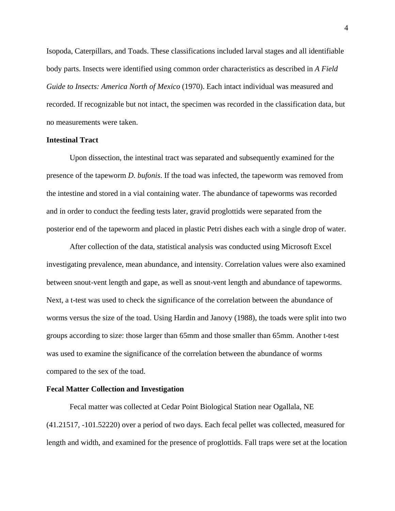Isopoda, Caterpillars, and Toads. These classifications included larval stages and all identifiable body parts. Insects were identified using common order characteristics as described in *A Field Guide to Insects: America North of Mexico* (1970). Each intact individual was measured and recorded. If recognizable but not intact, the specimen was recorded in the classification data, but no measurements were taken.

## **Intestinal Tract**

 Upon dissection, the intestinal tract was separated and subsequently examined for the presence of the tapeworm *D. bufonis*. If the toad was infected, the tapeworm was removed from the intestine and stored in a vial containing water. The abundance of tapeworms was recorded and in order to conduct the feeding tests later, gravid proglottids were separated from the posterior end of the tapeworm and placed in plastic Petri dishes each with a single drop of water.

 After collection of the data, statistical analysis was conducted using Microsoft Excel investigating prevalence, mean abundance, and intensity. Correlation values were also examined between snout-vent length and gape, as well as snout-vent length and abundance of tapeworms. Next, a t-test was used to check the significance of the correlation between the abundance of worms versus the size of the toad. Using Hardin and Janovy (1988), the toads were split into two groups according to size: those larger than 65mm and those smaller than 65mm. Another t-test was used to examine the significance of the correlation between the abundance of worms compared to the sex of the toad.

# **Fecal Matter Collection and Investigation**

 Fecal matter was collected at Cedar Point Biological Station near Ogallala, NE (41.21517, -101.52220) over a period of two days. Each fecal pellet was collected, measured for length and width, and examined for the presence of proglottids. Fall traps were set at the location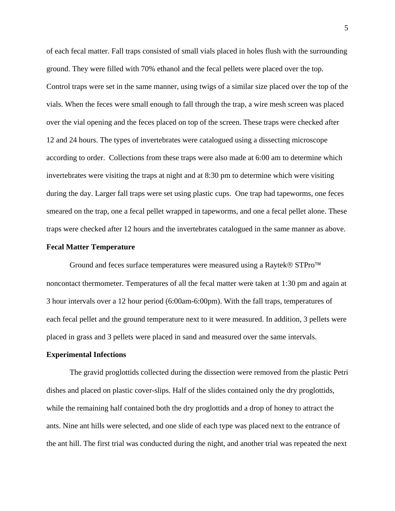of each fecal matter. Fall traps consisted of small vials placed in holes flush with the surrounding ground. They were filled with 70% ethanol and the fecal pellets were placed over the top. Control traps were set in the same manner, using twigs of a similar size placed over the top of the vials. When the feces were small enough to fall through the trap, a wire mesh screen was placed over the vial opening and the feces placed on top of the screen. These traps were checked after 12 and 24 hours. The types of invertebrates were catalogued using a dissecting microscope according to order. Collections from these traps were also made at 6:00 am to determine which invertebrates were visiting the traps at night and at 8:30 pm to determine which were visiting during the day. Larger fall traps were set using plastic cups. One trap had tapeworms, one feces smeared on the trap, one a fecal pellet wrapped in tapeworms, and one a fecal pellet alone. These traps were checked after 12 hours and the invertebrates catalogued in the same manner as above.

#### **Fecal Matter Temperature**

 Ground and feces surface temperatures were measured using a Raytek® STPro™ noncontact thermometer. Temperatures of all the fecal matter were taken at 1:30 pm and again at 3 hour intervals over a 12 hour period (6:00am-6:00pm). With the fall traps, temperatures of each fecal pellet and the ground temperature next to it were measured. In addition, 3 pellets were placed in grass and 3 pellets were placed in sand and measured over the same intervals.

# **Experimental Infections**

 The gravid proglottids collected during the dissection were removed from the plastic Petri dishes and placed on plastic cover-slips. Half of the slides contained only the dry proglottids, while the remaining half contained both the dry proglottids and a drop of honey to attract the ants. Nine ant hills were selected, and one slide of each type was placed next to the entrance of the ant hill. The first trial was conducted during the night, and another trial was repeated the next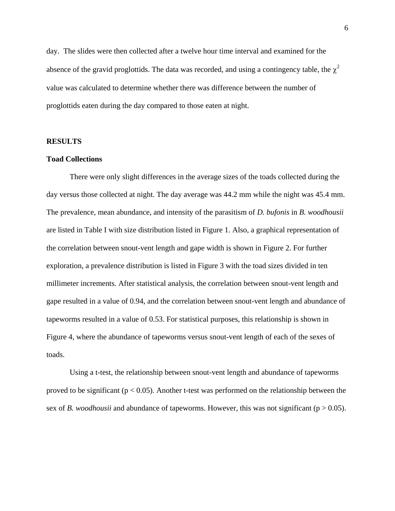day. The slides were then collected after a twelve hour time interval and examined for the absence of the gravid proglottids. The data was recorded, and using a contingency table, the  $\chi^2$ value was calculated to determine whether there was difference between the number of proglottids eaten during the day compared to those eaten at night.

#### **RESULTS**

## **Toad Collections**

 There were only slight differences in the average sizes of the toads collected during the day versus those collected at night. The day average was 44.2 mm while the night was 45.4 mm. The prevalence, mean abundance, and intensity of the parasitism of *D. bufonis* in *B. woodhousii* are listed in Table I with size distribution listed in Figure 1. Also, a graphical representation of the correlation between snout-vent length and gape width is shown in Figure 2. For further exploration, a prevalence distribution is listed in Figure 3 with the toad sizes divided in ten millimeter increments. After statistical analysis, the correlation between snout-vent length and gape resulted in a value of 0.94, and the correlation between snout-vent length and abundance of tapeworms resulted in a value of 0.53. For statistical purposes, this relationship is shown in Figure 4, where the abundance of tapeworms versus snout-vent length of each of the sexes of toads.

 Using a t-test, the relationship between snout-vent length and abundance of tapeworms proved to be significant ( $p < 0.05$ ). Another t-test was performed on the relationship between the sex of *B. woodhousii* and abundance of tapeworms. However, this was not significant ( $p > 0.05$ ).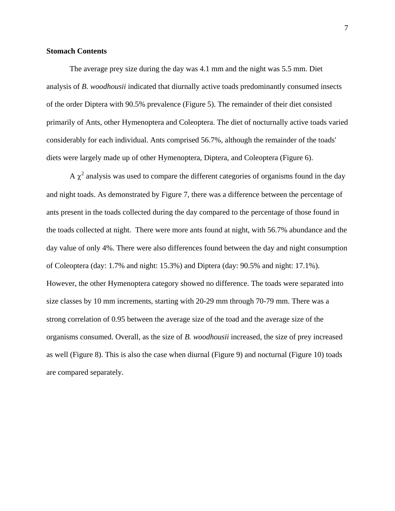## **Stomach Contents**

The average prey size during the day was 4.1 mm and the night was 5.5 mm. Diet analysis of *B. woodhousii* indicated that diurnally active toads predominantly consumed insects of the order Diptera with 90.5% prevalence (Figure 5). The remainder of their diet consisted primarily of Ants, other Hymenoptera and Coleoptera. The diet of nocturnally active toads varied considerably for each individual. Ants comprised 56.7%, although the remainder of the toads' diets were largely made up of other Hymenoptera, Diptera, and Coleoptera (Figure 6).

A  $\chi^2$  analysis was used to compare the different categories of organisms found in the day and night toads. As demonstrated by Figure 7, there was a difference between the percentage of ants present in the toads collected during the day compared to the percentage of those found in the toads collected at night. There were more ants found at night, with 56.7% abundance and the day value of only 4%. There were also differences found between the day and night consumption of Coleoptera (day: 1.7% and night: 15.3%) and Diptera (day: 90.5% and night: 17.1%). However, the other Hymenoptera category showed no difference. The toads were separated into size classes by 10 mm increments, starting with 20-29 mm through 70-79 mm. There was a strong correlation of 0.95 between the average size of the toad and the average size of the organisms consumed. Overall, as the size of *B. woodhousii* increased, the size of prey increased as well (Figure 8). This is also the case when diurnal (Figure 9) and nocturnal (Figure 10) toads are compared separately.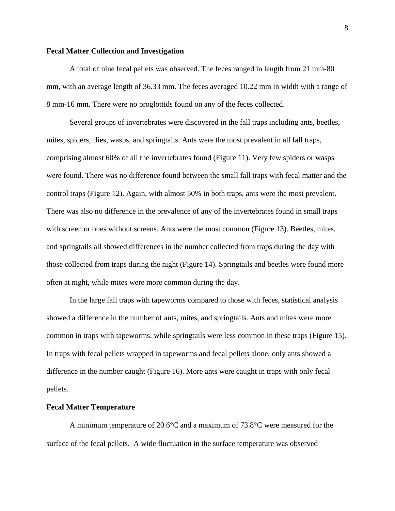## **Fecal Matter Collection and Investigation**

 A total of nine fecal pellets was observed. The feces ranged in length from 21 mm-80 mm, with an average length of 36.33 mm. The feces averaged 10.22 mm in width with a range of 8 mm-16 mm. There were no proglottids found on any of the feces collected.

 Several groups of invertebrates were discovered in the fall traps including ants, beetles, mites, spiders, flies, wasps, and springtails. Ants were the most prevalent in all fall traps, comprising almost 60% of all the invertebrates found (Figure 11). Very few spiders or wasps were found. There was no difference found between the small fall traps with fecal matter and the control traps (Figure 12). Again, with almost 50% in both traps, ants were the most prevalent. There was also no difference in the prevalence of any of the invertebrates found in small traps with screen or ones without screens. Ants were the most common (Figure 13). Beetles, mites, and springtails all showed differences in the number collected from traps during the day with those collected from traps during the night (Figure 14). Springtails and beetles were found more often at night, while mites were more common during the day.

 In the large fall traps with tapeworms compared to those with feces, statistical analysis showed a difference in the number of ants, mites, and springtails. Ants and mites were more common in traps with tapeworms, while springtails were less common in these traps (Figure 15). In traps with fecal pellets wrapped in tapeworms and fecal pellets alone, only ants showed a difference in the number caught (Figure 16). More ants were caught in traps with only fecal pellets.

#### **Fecal Matter Temperature**

 A minimum temperature of 20.6°C and a maximum of 73.8°C were measured for the surface of the fecal pellets. A wide fluctuation in the surface temperature was observed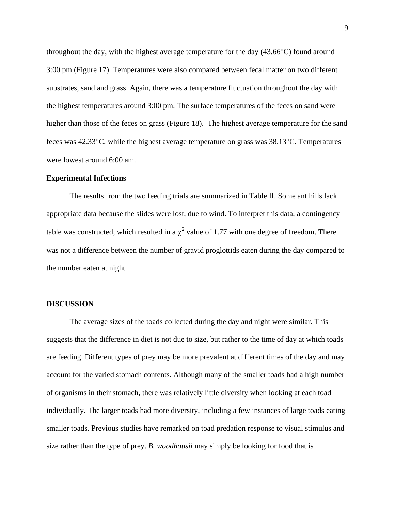throughout the day, with the highest average temperature for the day (43.66°C) found around 3:00 pm (Figure 17). Temperatures were also compared between fecal matter on two different substrates, sand and grass. Again, there was a temperature fluctuation throughout the day with the highest temperatures around 3:00 pm. The surface temperatures of the feces on sand were higher than those of the feces on grass (Figure 18). The highest average temperature for the sand feces was 42.33°C, while the highest average temperature on grass was 38.13°C. Temperatures were lowest around 6:00 am.

# **Experimental Infections**

 The results from the two feeding trials are summarized in Table II. Some ant hills lack appropriate data because the slides were lost, due to wind. To interpret this data, a contingency table was constructed, which resulted in a  $\chi^2$  value of 1.77 with one degree of freedom. There was not a difference between the number of gravid proglottids eaten during the day compared to the number eaten at night.

## **DISCUSSION**

 The average sizes of the toads collected during the day and night were similar. This suggests that the difference in diet is not due to size, but rather to the time of day at which toads are feeding. Different types of prey may be more prevalent at different times of the day and may account for the varied stomach contents. Although many of the smaller toads had a high number of organisms in their stomach, there was relatively little diversity when looking at each toad individually. The larger toads had more diversity, including a few instances of large toads eating smaller toads. Previous studies have remarked on toad predation response to visual stimulus and size rather than the type of prey. *B. woodhousii* may simply be looking for food that is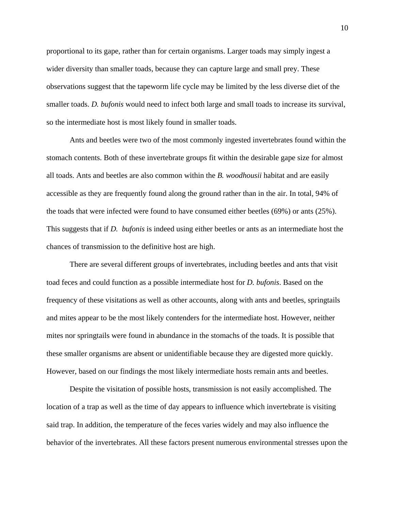proportional to its gape, rather than for certain organisms. Larger toads may simply ingest a wider diversity than smaller toads, because they can capture large and small prey. These observations suggest that the tapeworm life cycle may be limited by the less diverse diet of the smaller toads. *D. bufonis* would need to infect both large and small toads to increase its survival, so the intermediate host is most likely found in smaller toads.

 Ants and beetles were two of the most commonly ingested invertebrates found within the stomach contents. Both of these invertebrate groups fit within the desirable gape size for almost all toads. Ants and beetles are also common within the *B. woodhousii* habitat and are easily accessible as they are frequently found along the ground rather than in the air. In total, 94% of the toads that were infected were found to have consumed either beetles (69%) or ants (25%). This suggests that if *D. bufonis* is indeed using either beetles or ants as an intermediate host the chances of transmission to the definitive host are high.

 There are several different groups of invertebrates, including beetles and ants that visit toad feces and could function as a possible intermediate host for *D. bufonis*. Based on the frequency of these visitations as well as other accounts, along with ants and beetles, springtails and mites appear to be the most likely contenders for the intermediate host. However, neither mites nor springtails were found in abundance in the stomachs of the toads. It is possible that these smaller organisms are absent or unidentifiable because they are digested more quickly. However, based on our findings the most likely intermediate hosts remain ants and beetles.

 Despite the visitation of possible hosts, transmission is not easily accomplished. The location of a trap as well as the time of day appears to influence which invertebrate is visiting said trap. In addition, the temperature of the feces varies widely and may also influence the behavior of the invertebrates. All these factors present numerous environmental stresses upon the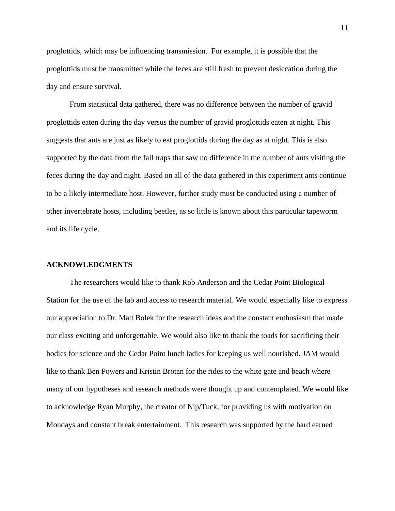proglottids, which may be influencing transmission. For example, it is possible that the proglottids must be transmitted while the feces are still fresh to prevent desiccation during the day and ensure survival.

 From statistical data gathered, there was no difference between the number of gravid proglottids eaten during the day versus the number of gravid proglottids eaten at night. This suggests that ants are just as likely to eat proglottids during the day as at night. This is also supported by the data from the fall traps that saw no difference in the number of ants visiting the feces during the day and night. Based on all of the data gathered in this experiment ants continue to be a likely intermediate host. However, further study must be conducted using a number of other invertebrate hosts, including beetles, as so little is known about this particular tapeworm and its life cycle.

#### **ACKNOWLEDGMENTS**

 The researchers would like to thank Rob Anderson and the Cedar Point Biological Station for the use of the lab and access to research material. We would especially like to express our appreciation to Dr. Matt Bolek for the research ideas and the constant enthusiasm that made our class exciting and unforgettable. We would also like to thank the toads for sacrificing their bodies for science and the Cedar Point lunch ladies for keeping us well nourished. JAM would like to thank Ben Powers and Kristin Brotan for the rides to the white gate and beach where many of our hypotheses and research methods were thought up and contemplated. We would like to acknowledge Ryan Murphy, the creator of Nip/Tuck, for providing us with motivation on Mondays and constant break entertainment. This research was supported by the hard earned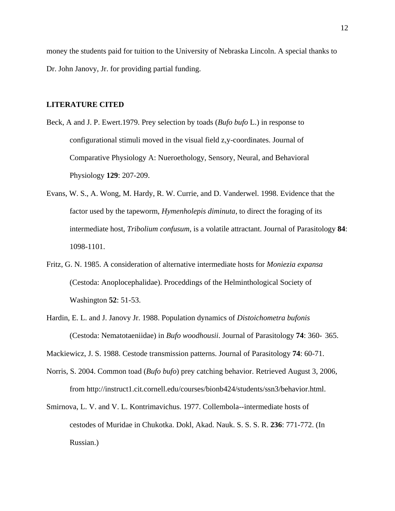money the students paid for tuition to the University of Nebraska Lincoln. A special thanks to Dr. John Janovy, Jr. for providing partial funding.

## **LITERATURE CITED**

- Beck, A and J. P. Ewert.1979. Prey selection by toads (*Bufo bufo* L.) in response to configurational stimuli moved in the visual field z,y-coordinates. Journal of Comparative Physiology A: Nueroethology, Sensory, Neural, and Behavioral Physiology **129**: 207-209.
- Evans, W. S., A. Wong, M. Hardy, R. W. Currie, and D. Vanderwel. 1998. Evidence that the factor used by the tapeworm, *Hymenholepis diminuta*, to direct the foraging of its intermediate host, *Tribolium confusum*, is a volatile attractant. Journal of Parasitology **84**: 1098-1101.
- Fritz, G. N. 1985. A consideration of alternative intermediate hosts for *Moniezia expansa* (Cestoda: Anoplocephalidae). Proceddings of the Helminthological Society of Washington **52**: 51-53.
- Hardin, E. L. and J. Janovy Jr. 1988. Population dynamics of *Distoichometra bufonis* (Cestoda: Nematotaeniidae) in *Bufo woodhousii*. Journal of Parasitology **74**: 360- 365.

Mackiewicz, J. S. 1988. Cestode transmission patterns. Journal of Parasitology **74**: 60-71.

- Norris, S. 2004. Common toad (*Bufo bufo*) prey catching behavior. Retrieved August 3, 2006, from http://instruct1.cit.cornell.edu/courses/bionb424/students/ssn3/behavior.html.
- Smirnova, L. V. and V. L. Kontrimavichus. 1977. Collembola--intermediate hosts of cestodes of Muridae in Chukotka. Dokl, Akad. Nauk. S. S. S. R. **236**: 771-772. (In Russian.)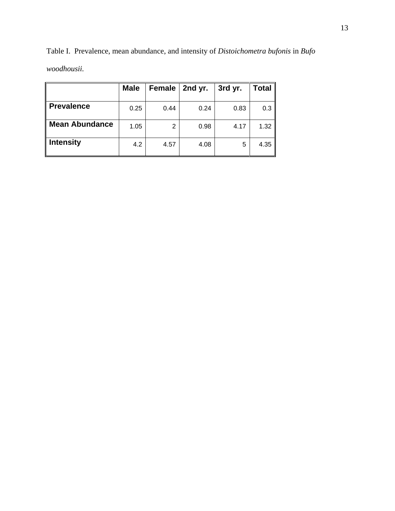|                       | <b>Male</b> | Female | 2nd yr. | 3rd yr. | <b>Total</b> |
|-----------------------|-------------|--------|---------|---------|--------------|
| <b>Prevalence</b>     | 0.25        | 0.44   | 0.24    | 0.83    | 0.3          |
| <b>Mean Abundance</b> | 1.05        | 2      | 0.98    | 4.17    | 1.32         |
| <b>Intensity</b>      | 4.2         | 4.57   | 4.08    | 5       | 4.35         |

Table I. Prevalence, mean abundance, and intensity of *Distoichometra bufonis* in *Bufo woodhousii.*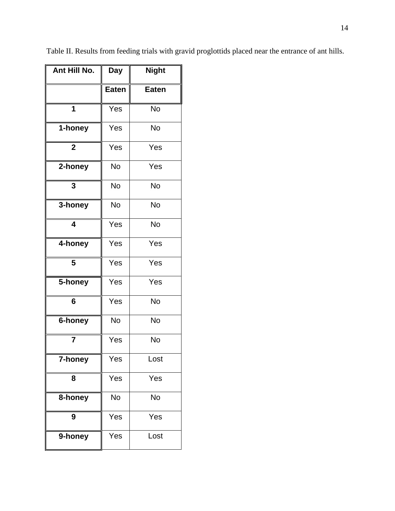| Ant Hill No. | <b>Day</b>   | <b>Night</b> |
|--------------|--------------|--------------|
|              | <b>Eaten</b> | <b>Eaten</b> |
| 1            | Yes          | <b>No</b>    |
| 1-honey      | Yes          | <b>No</b>    |
| $\mathbf 2$  | Yes          | Yes          |
| 2-honey      | No           | Yes          |
| 3            | <b>No</b>    | <b>No</b>    |
| 3-honey      | <b>No</b>    | No           |
| 4            | Yes          | <b>No</b>    |
| 4-honey      | Yes          | Yes          |
| 5            | Yes          | Yes          |
| 5-honey      | Yes          | Yes          |
| 6            | Yes          | <b>No</b>    |
| 6-honey      | <b>No</b>    | <b>No</b>    |
| 7            | Yes          | No           |
| 7-honey      | Yes          | Lost         |
| 8            | Yes          | Yes          |
| 8-honey      | No           | No           |
| 9            | Yes          | Yes          |
| 9-honey      | Yes          | Lost         |

Table II. Results from feeding trials with gravid proglottids placed near the entrance of ant hills.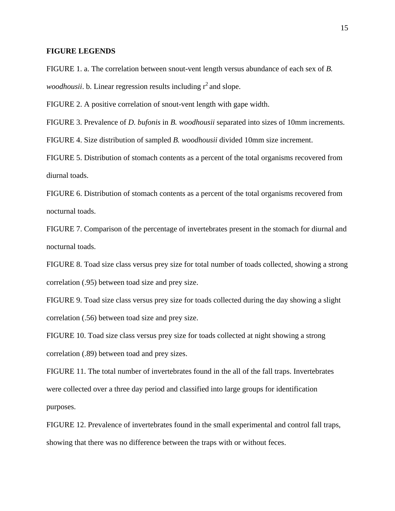## **FIGURE LEGENDS**

FIGURE 1. a. The correlation between snout-vent length versus abundance of each sex of *B. woodhousii*. b. Linear regression results including  $r^2$  and slope.

FIGURE 2. A positive correlation of snout-vent length with gape width.

FIGURE 3. Prevalence of *D. bufonis* in *B. woodhousii* separated into sizes of 10mm increments.

FIGURE 4. Size distribution of sampled *B. woodhousii* divided 10mm size increment.

FIGURE 5. Distribution of stomach contents as a percent of the total organisms recovered from diurnal toads.

FIGURE 6. Distribution of stomach contents as a percent of the total organisms recovered from nocturnal toads.

FIGURE 7. Comparison of the percentage of invertebrates present in the stomach for diurnal and nocturnal toads.

FIGURE 8. Toad size class versus prey size for total number of toads collected, showing a strong correlation (.95) between toad size and prey size.

FIGURE 9. Toad size class versus prey size for toads collected during the day showing a slight correlation (.56) between toad size and prey size.

FIGURE 10. Toad size class versus prey size for toads collected at night showing a strong correlation (.89) between toad and prey sizes.

FIGURE 11. The total number of invertebrates found in the all of the fall traps. Invertebrates were collected over a three day period and classified into large groups for identification purposes.

FIGURE 12. Prevalence of invertebrates found in the small experimental and control fall traps, showing that there was no difference between the traps with or without feces.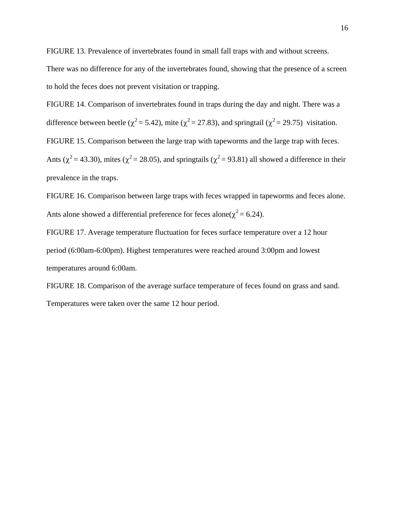FIGURE 13. Prevalence of invertebrates found in small fall traps with and without screens.

There was no difference for any of the invertebrates found, showing that the presence of a screen to hold the feces does not prevent visitation or trapping.

FIGURE 14. Comparison of invertebrates found in traps during the day and night. There was a difference between beetle ( $\chi^2$  = 5.42), mite ( $\chi^2$  = 27.83), and springtail ( $\chi^2$  = 29.75) visitation. FIGURE 15. Comparison between the large trap with tapeworms and the large trap with feces. Ants ( $\chi^2$  = 43.30), mites ( $\chi^2$  = 28.05), and springtails ( $\chi^2$  = 93.81) all showed a difference in their prevalence in the traps.

FIGURE 16. Comparison between large traps with feces wrapped in tapeworms and feces alone. Ants alone showed a differential preference for feces alone( $\chi^2$  = 6.24).

FIGURE 17. Average temperature fluctuation for feces surface temperature over a 12 hour period (6:00am-6:00pm). Highest temperatures were reached around 3:00pm and lowest temperatures around 6:00am.

FIGURE 18. Comparison of the average surface temperature of feces found on grass and sand. Temperatures were taken over the same 12 hour period.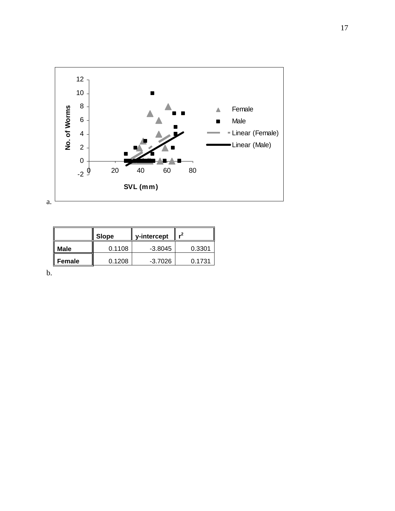

|        | Slope  | y-intercept |        |
|--------|--------|-------------|--------|
| Male   | 0.1108 | $-3.8045$   | 0.3301 |
| Female | 0.1208 | -3.7026     | 0.1731 |

b.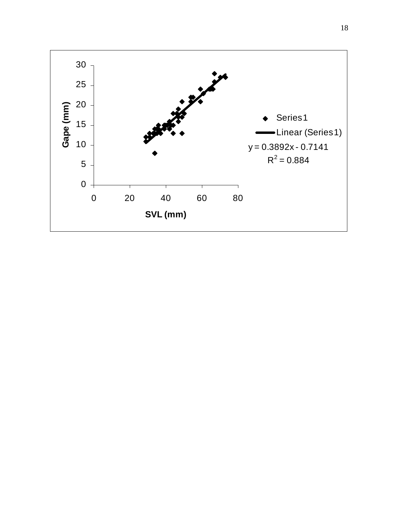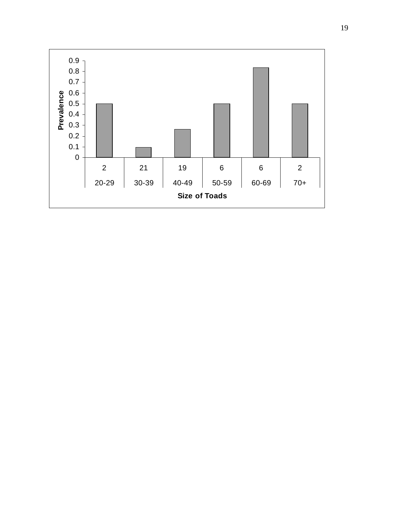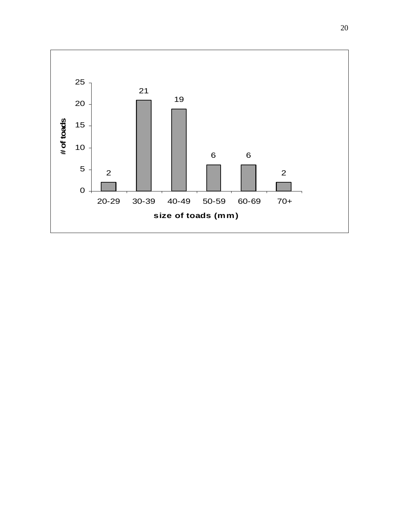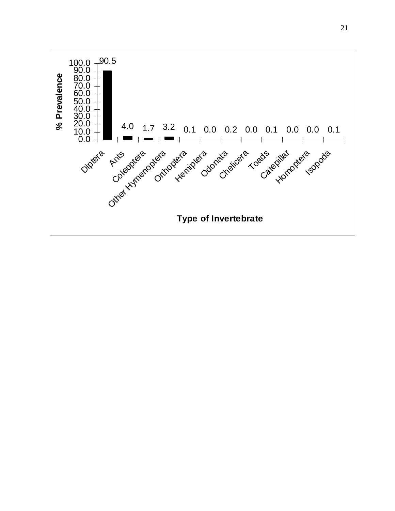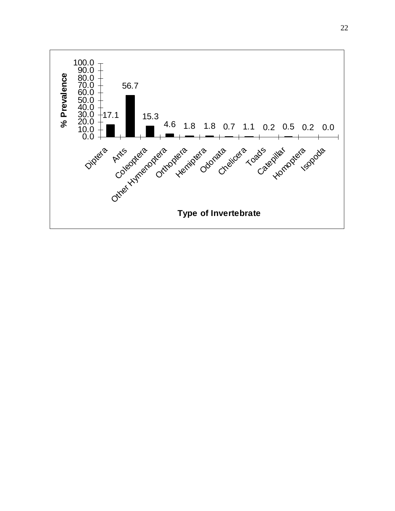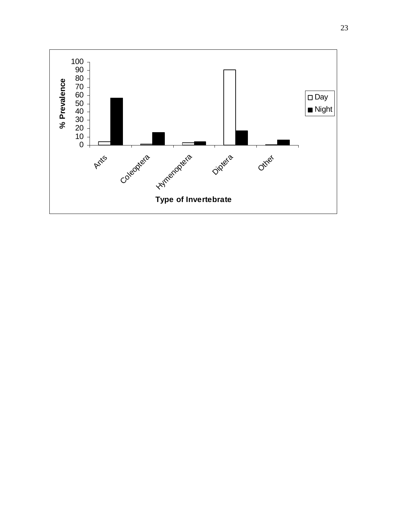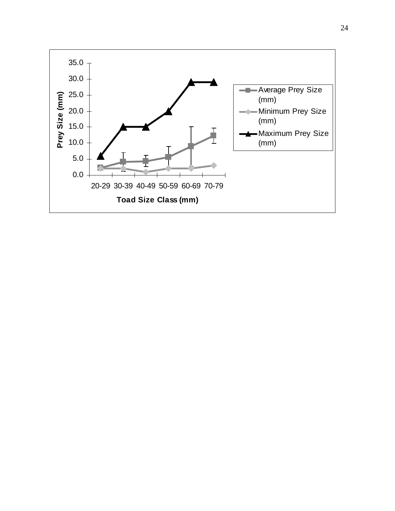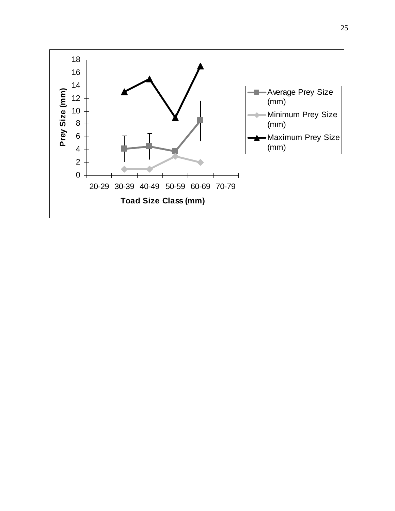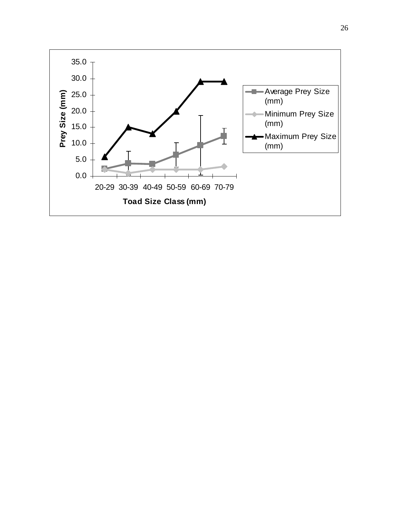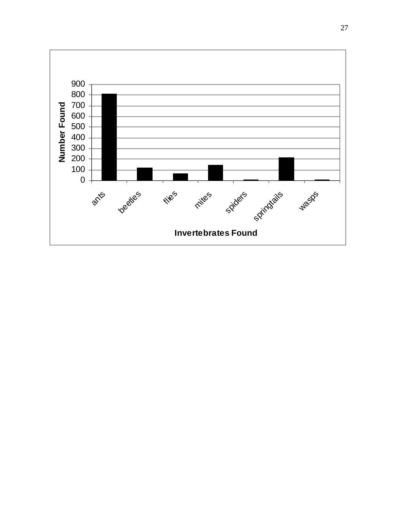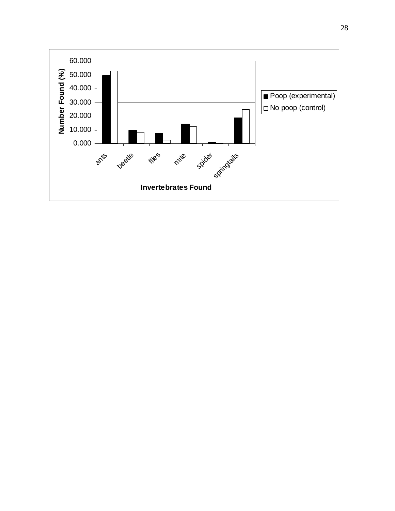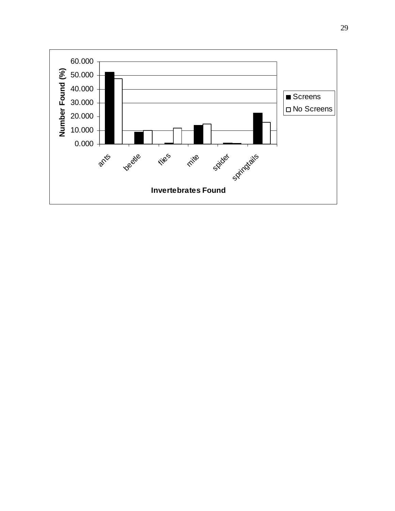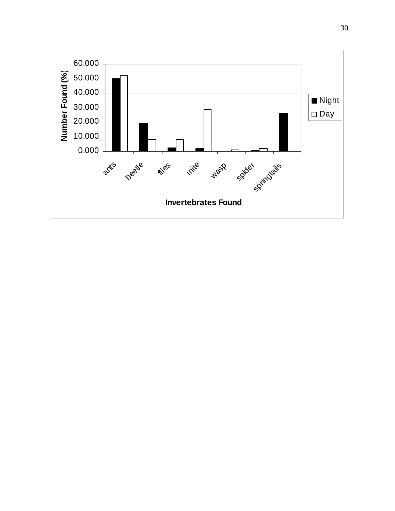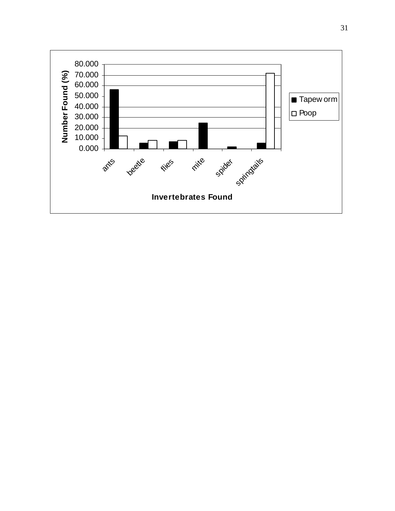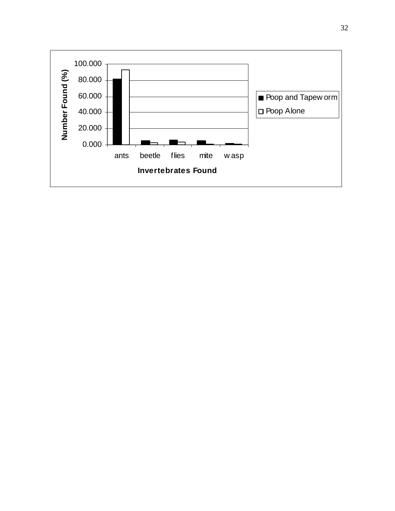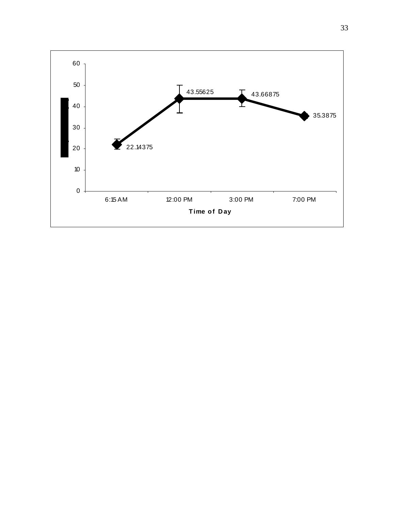